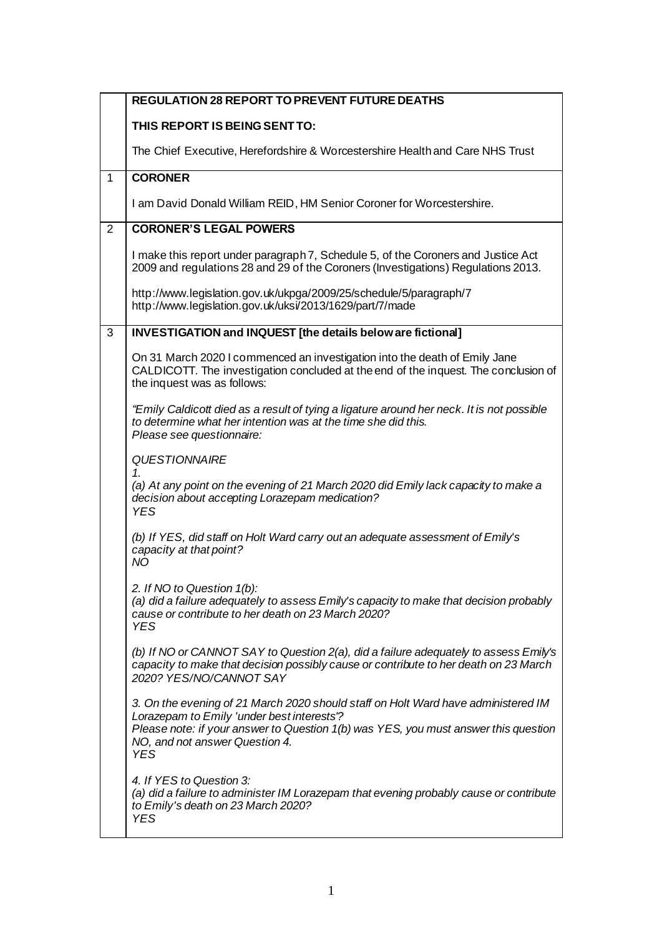|              | <b>REGULATION 28 REPORT TO PREVENT FUTURE DEATHS</b>                                                                                                                                                                                                                   |
|--------------|------------------------------------------------------------------------------------------------------------------------------------------------------------------------------------------------------------------------------------------------------------------------|
|              | THIS REPORT IS BEING SENT TO:                                                                                                                                                                                                                                          |
|              | The Chief Executive, Herefordshire & Worcestershire Health and Care NHS Trust                                                                                                                                                                                          |
| $\mathbf{1}$ | <b>CORONER</b>                                                                                                                                                                                                                                                         |
|              | I am David Donald William REID, HM Senior Coroner for Worcestershire.                                                                                                                                                                                                  |
| 2            | <b>CORONER'S LEGAL POWERS</b>                                                                                                                                                                                                                                          |
|              | I make this report under paragraph 7, Schedule 5, of the Coroners and Justice Act<br>2009 and regulations 28 and 29 of the Coroners (Investigations) Regulations 2013.                                                                                                 |
|              | http://www.legislation.gov.uk/ukpga/2009/25/schedule/5/paragraph/7<br>http://www.legislation.gov.uk/uksi/2013/1629/part/7/made                                                                                                                                         |
| 3            | INVESTIGATION and INQUEST [the details below are fictional]                                                                                                                                                                                                            |
|              | On 31 March 2020 I commenced an investigation into the death of Emily Jane<br>CALDICOTT. The investigation concluded at the end of the inquest. The conclusion of<br>the inquest was as follows:                                                                       |
|              | "Emily Caldicott died as a result of tying a ligature around her neck. It is not possible<br>to determine what her intention was at the time she did this.<br>Please see questionnaire:                                                                                |
|              | <b>QUESTIONNAIRE</b><br>1<br>(a) At any point on the evening of 21 March 2020 did Emily lack capacity to make a<br>decision about accepting Lorazepam medication?<br><b>YES</b>                                                                                        |
|              | (b) If YES, did staff on Holt Ward carry out an adequate assessment of Emily's<br>capacity at that point?<br>ΝO                                                                                                                                                        |
|              | 2. If NO to Question 1(b):<br>(a) did a failure adequately to assess Emily's capacity to make that decision probably<br>cause or contribute to her death on 23 March 2020?<br><b>YES</b>                                                                               |
|              | (b) If NO or CANNOT SAY to Question 2(a), did a failure adequately to assess Emily's<br>capacity to make that decision possibly cause or contribute to her death on 23 March<br>2020? YES/NO/CANNOT SAY                                                                |
|              | 3. On the evening of 21 March 2020 should staff on Holt Ward have administered IM<br>Lorazepam to Emily 'under best interests'?<br>Please note: if your answer to Question 1(b) was YES, you must answer this question<br>NO, and not answer Question 4.<br><b>YES</b> |
|              | 4. If YES to Question 3:<br>(a) did a failure to administer IM Lorazepam that evening probably cause or contribute<br>to Emily's death on 23 March 2020?<br><b>YES</b>                                                                                                 |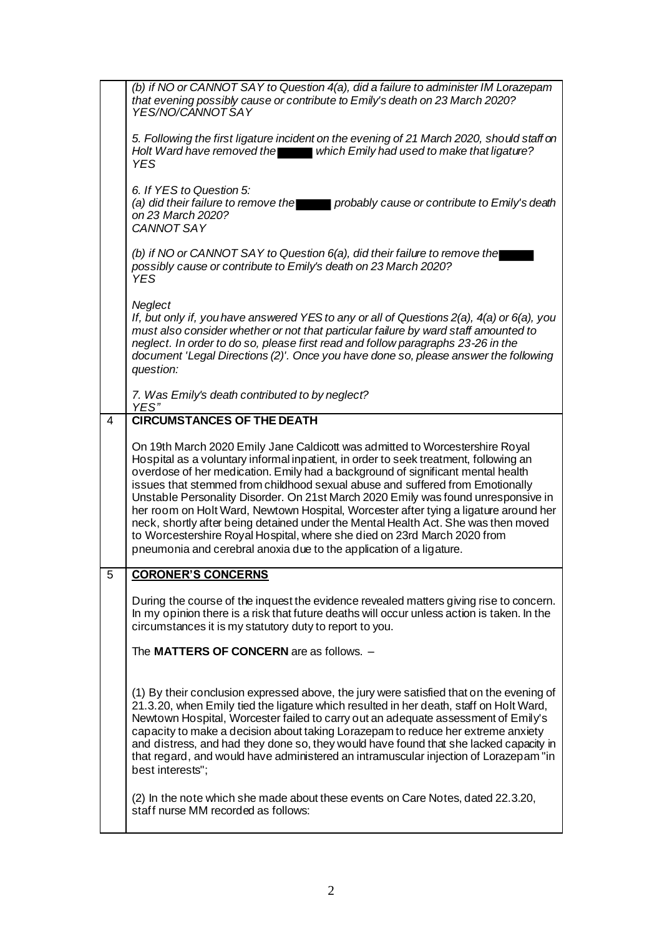|   | (b) if NO or CANNOT SAY to Question 4(a), did a failure to administer IM Lorazepam<br>that evening possibly cause or contribute to Emily's death on 23 March 2020?<br>YES/NO/CANNOTSAY                                                                                                                                                                                                                                                                                                                                                                                                                                                                                                                                                                         |
|---|----------------------------------------------------------------------------------------------------------------------------------------------------------------------------------------------------------------------------------------------------------------------------------------------------------------------------------------------------------------------------------------------------------------------------------------------------------------------------------------------------------------------------------------------------------------------------------------------------------------------------------------------------------------------------------------------------------------------------------------------------------------|
|   | 5. Following the first ligature incident on the evening of 21 March 2020, should staff on<br>Holt Ward have removed the which Emily had used to make that ligature?<br><b>YES</b>                                                                                                                                                                                                                                                                                                                                                                                                                                                                                                                                                                              |
|   | 6. If YES to Question 5:<br>(a) did their failure to remove the<br>probably cause or contribute to Emily's death<br>on 23 March 2020?<br>CANNOT SAY                                                                                                                                                                                                                                                                                                                                                                                                                                                                                                                                                                                                            |
|   | (b) if NO or CANNOT SAY to Question 6(a), did their failure to remove the<br>possibly cause or contribute to Emily's death on 23 March 2020?<br><b>YES</b>                                                                                                                                                                                                                                                                                                                                                                                                                                                                                                                                                                                                     |
|   | Neglect<br>If, but only if, you have answered YES to any or all of Questions $2(a)$ , $4(a)$ or 6(a), you<br>must also consider whether or not that particular failure by ward staff amounted to<br>neglect. In order to do so, please first read and follow paragraphs 23-26 in the<br>document 'Legal Directions (2)'. Once you have done so, please answer the following<br>question:                                                                                                                                                                                                                                                                                                                                                                       |
|   | 7. Was Emily's death contributed to by neglect?<br>YES"                                                                                                                                                                                                                                                                                                                                                                                                                                                                                                                                                                                                                                                                                                        |
| 4 | <b>CIRCUMSTANCES OF THE DEATH</b>                                                                                                                                                                                                                                                                                                                                                                                                                                                                                                                                                                                                                                                                                                                              |
|   | On 19th March 2020 Emily Jane Caldicott was admitted to Worcestershire Royal<br>Hospital as a voluntary informal inpatient, in order to seek treatment, following an<br>overdose of her medication. Emily had a background of significant mental health<br>issues that stemmed from childhood sexual abuse and suffered from Emotionally<br>Unstable Personality Disorder. On 21st March 2020 Emily was found unresponsive in<br>her room on Holt Ward, Newtown Hospital, Worcester after tying a ligature around her<br>neck, shortly after being detained under the Mental Health Act. She was then moved<br>to Worcestershire Royal Hospital, where she died on 23rd March 2020 from<br>pneumonia and cerebral anoxia due to the application of a ligature. |
| 5 | <b>CORONER'S CONCERNS</b>                                                                                                                                                                                                                                                                                                                                                                                                                                                                                                                                                                                                                                                                                                                                      |
|   | During the course of the inquest the evidence revealed matters giving rise to concern.<br>In my opinion there is a risk that future deaths will occur unless action is taken. In the<br>circumstances it is my statutory duty to report to you.                                                                                                                                                                                                                                                                                                                                                                                                                                                                                                                |
|   | The MATTERS OF CONCERN are as follows. -                                                                                                                                                                                                                                                                                                                                                                                                                                                                                                                                                                                                                                                                                                                       |
|   | (1) By their conclusion expressed above, the jury were satisfied that on the evening of<br>21.3.20, when Emily tied the ligature which resulted in her death, staff on Holt Ward,<br>Newtown Hospital, Worcester failed to carry out an adequate assessment of Emily's<br>capacity to make a decision about taking Lorazepam to reduce her extreme anxiety<br>and distress, and had they done so, they would have found that she lacked capacity in<br>that regard, and would have administered an intramuscular injection of Lorazepam "in<br>best interests";                                                                                                                                                                                                |
|   | (2) In the note which she made about these events on Care Notes, dated 22.3.20,<br>staff nurse MM recorded as follows:                                                                                                                                                                                                                                                                                                                                                                                                                                                                                                                                                                                                                                         |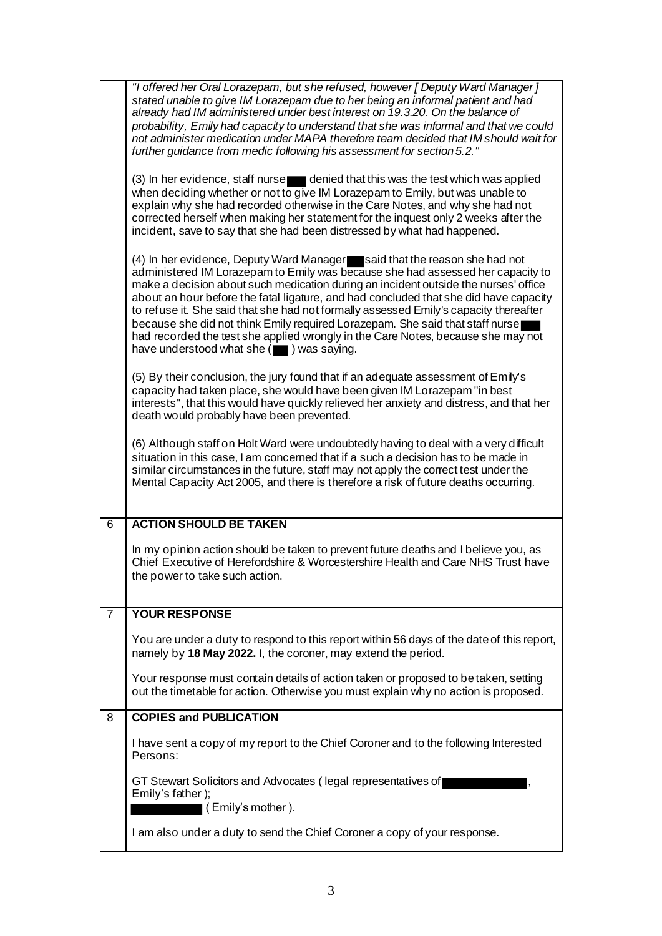|   | "I offered her Oral Lorazepam, but she refused, however [ Deputy Ward Manager ]<br>stated unable to give IM Lorazepam due to her being an informal patient and had<br>already had IM administered under best interest on 19.3.20. On the balance of<br>probability, Emily had capacity to understand that she was informal and that we could<br>not administer medication under MAPA therefore team decided that IM should wait for<br>further guidance from medic following his assessment for section 5.2."                                                                                                                                             |
|---|-----------------------------------------------------------------------------------------------------------------------------------------------------------------------------------------------------------------------------------------------------------------------------------------------------------------------------------------------------------------------------------------------------------------------------------------------------------------------------------------------------------------------------------------------------------------------------------------------------------------------------------------------------------|
|   | (3) In her evidence, staff nurse endentied that this was the test which was applied<br>when deciding whether or not to give IM Lorazepam to Emily, but was unable to<br>explain why she had recorded otherwise in the Care Notes, and why she had not<br>corrected herself when making her statement for the inquest only 2 weeks after the<br>incident, save to say that she had been distressed by what had happened.                                                                                                                                                                                                                                   |
|   | (4) In her evidence, Deputy Ward Manager said that the reason she had not<br>administered IM Lorazepam to Emily was because she had assessed her capacity to<br>make a decision about such medication during an incident outside the nurses' office<br>about an hour before the fatal ligature, and had concluded that she did have capacity<br>to refuse it. She said that she had not formally assessed Emily's capacity thereafter<br>because she did not think Emily required Lorazepam. She said that staff nurse<br>had recorded the test she applied wrongly in the Care Notes, because she may not<br>have understood what she (igna) was saying. |
|   | (5) By their conclusion, the jury found that if an adequate assessment of Emily's<br>capacity had taken place, she would have been given IM Lorazepam "in best<br>interests", that this would have quickly relieved her anxiety and distress, and that her<br>death would probably have been prevented.                                                                                                                                                                                                                                                                                                                                                   |
|   | (6) Although staff on Holt Ward were undoubtedly having to deal with a very difficult<br>situation in this case, I am concerned that if a such a decision has to be made in<br>similar circumstances in the future, staff may not apply the correct test under the<br>Mental Capacity Act 2005, and there is therefore a risk of future deaths occurring.                                                                                                                                                                                                                                                                                                 |
| 6 | <b>ACTION SHOULD BE TAKEN</b>                                                                                                                                                                                                                                                                                                                                                                                                                                                                                                                                                                                                                             |
|   | In my opinion action should be taken to prevent future deaths and I believe you, as<br>Chief Executive of Herefordshire & Worcestershire Health and Care NHS Trust have<br>the power to take such action.                                                                                                                                                                                                                                                                                                                                                                                                                                                 |
| 7 | <b>YOUR RESPONSE</b>                                                                                                                                                                                                                                                                                                                                                                                                                                                                                                                                                                                                                                      |
|   | You are under a duty to respond to this report within 56 days of the date of this report,<br>namely by 18 May 2022. I, the coroner, may extend the period.                                                                                                                                                                                                                                                                                                                                                                                                                                                                                                |
|   | Your response must contain details of action taken or proposed to be taken, setting<br>out the timetable for action. Otherwise you must explain why no action is proposed.                                                                                                                                                                                                                                                                                                                                                                                                                                                                                |
| 8 | <b>COPIES and PUBLICATION</b>                                                                                                                                                                                                                                                                                                                                                                                                                                                                                                                                                                                                                             |
|   | I have sent a copy of my report to the Chief Coroner and to the following Interested<br>Persons:                                                                                                                                                                                                                                                                                                                                                                                                                                                                                                                                                          |
|   | GT Stewart Solicitors and Advocates (legal representatives of<br>Emily's father);<br>(Emily's mother).                                                                                                                                                                                                                                                                                                                                                                                                                                                                                                                                                    |
|   | I am also under a duty to send the Chief Coroner a copy of your response.                                                                                                                                                                                                                                                                                                                                                                                                                                                                                                                                                                                 |